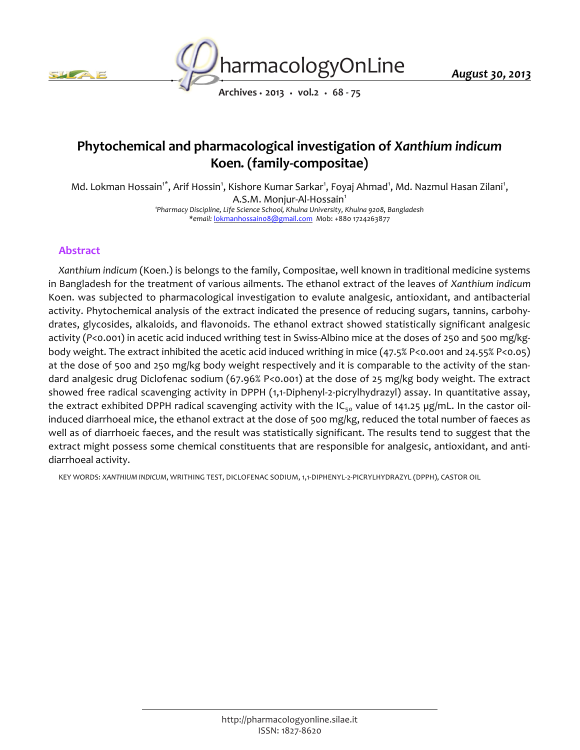



*August 30, 2013*

*Archives • 2013 • vol.2 • 68 - 75*

# *Phytochemical and pharmacological investigation of Xanthium indicum Koen. (family-compositae)*

Md. Lokman Hossain<sup>1\*</sup>, Arif Hossin<sup>1</sup>, Kishore Kumar Sarkar<sup>1</sup>, Foyaj Ahmad<sup>1</sup>, Md. Nazmul Hasan Zilani<sup>1</sup>, *A.S.M. Monjur-Al-Hossain<sup>1</sup> 1 Pharmacy Discipline, Life Science School, Khulna University, Khulna 9208, Bangladesh*

*\*email: lokmanhossain08@gmail.com Mob: +880 1724263877*

# *Abstract*

*Xanthium indicum (Koen.) is belongs to the family, Compositae, well known in traditional medicine systems in Bangladesh for the treatment of various ailments. The ethanol extract of the leaves of Xanthium indicum Koen. was subjected to pharmacological investigation to evalute analgesic, antioxidant, and antibacterial activity. Phytochemical analysis of the extract indicated the presence of reducing sugars, tannins, carbohydrates, glycosides, alkaloids, and flavonoids. The ethanol extract showed statistically significant analgesic activity (P<0.001) in acetic acid induced writhing test in Swiss-Albino mice at the doses of 250 and 500 mg/kgbody weight. The extract inhibited the acetic acid induced writhing in mice (47.5% P<0.001 and 24.55% P<0.05) at the dose of 500 and 250 mg/kg body weight respectively and it is comparable to the activity of the standard analgesic drug Diclofenac sodium (67.96% P<0.001) at the dose of 25 mg/kg body weight. The extract showed free radical scavenging activity in DPPH (1,1-Diphenyl-2-picrylhydrazyl) assay. In quantitative assay,*  the extract exhibited DPPH radical scavenging activity with the IC<sub>50</sub> value of 141.25 µg/mL. In the castor oil*induced diarrhoeal mice, the ethanol extract at the dose of 500 mg/kg, reduced the total number of faeces as*  well as of diarrhoeic faeces, and the result was statistically significant. The results tend to suggest that the *extract might possess some chemical constituents that are responsible for analgesic, antioxidant, and antidiarrhoeal activity.*

*KEY WORDS: XANTHIUM INDICUM, WRITHING TEST, DICLOFENAC SODIUM, 1,1-DIPHENYL-2-PICRYLHYDRAZYL (DPPH), CASTOR OIL*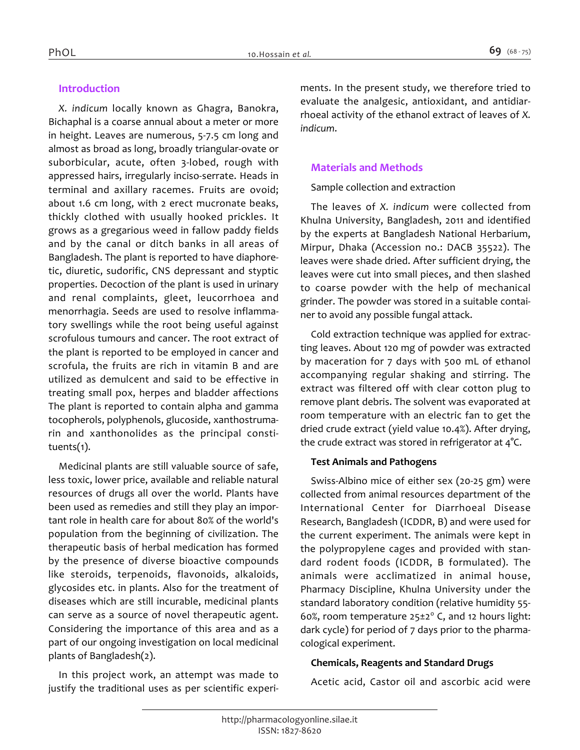# *Introduction*

*X. indicum locally known as Ghagra, Banokra, Bichaphal is a coarse annual about a meter or more in height. Leaves are numerous, 5-7.5 cm long and almost as broad as long, broadly triangular-ovate or suborbicular, acute, often 3-lobed, rough with appressed hairs, irregularly inciso-serrate. Heads in terminal and axillary racemes. Fruits are ovoid; about 1.6 cm long, with 2 erect mucronate beaks, thickly clothed with usually hooked prickles. It grows as a gregarious weed in fallow paddy fields and by the canal or ditch banks in all areas of Bangladesh. The plant is reported to have diaphoretic, diuretic, sudorific, CNS depressant and styptic properties. Decoction of the plant is used in urinary and renal complaints, gleet, leucorrhoea and menorrhagia. Seeds are used to resolve inflammatory swellings while the root being useful against scrofulous tumours and cancer. The root extract of the plant is reported to be employed in cancer and scrofula, the fruits are rich in vitamin B and are utilized as demulcent and said to be effective in treating small pox, herpes and bladder affections The plant is reported to contain alpha and gamma tocopherols, polyphenols, glucoside, xanthostrumarin and xanthonolides as the principal constituents(1).*

*Medicinal plants are still valuable source of safe, less toxic, lower price, available and reliable natural resources of drugs all over the world. Plants have been used as remedies and still they play an important role in health care for about 80% of the world's population from the beginning of civilization. The therapeutic basis of herbal medication has formed by the presence of diverse bioactive compounds like steroids, terpenoids, flavonoids, alkaloids, glycosides etc. in plants. Also for the treatment of diseases which are still incurable, medicinal plants can serve as a source of novel therapeutic agent. Considering the importance of this area and as a part of our ongoing investigation on local medicinal plants of Bangladesh(2).*

*In this project work, an attempt was made to justify the traditional uses as per scientific experi-* *ments. In the present study, we therefore tried to evaluate the analgesic, antioxidant, and antidiarrhoeal activity of the ethanol extract of leaves of X. indicum.*

# *Materials and Methods*

# *Sample collection and extraction*

*The leaves of X. indicum were collected from Khulna University, Bangladesh, 2011 and identified by the experts at Bangladesh National Herbarium, Mirpur, Dhaka (Accession no.: DACB 35522). The leaves were shade dried. After sufficient drying, the leaves were cut into small pieces, and then slashed to coarse powder with the help of mechanical grinder. The powder was stored in a suitable container to avoid any possible fungal attack.*

*Cold extraction technique was applied for extracting leaves. About 120 mg of powder was extracted by maceration for 7 days with 500 mL of ethanol accompanying regular shaking and stirring. The extract was filtered off with clear cotton plug to remove plant debris. The solvent was evaporated at room temperature with an electric fan to get the dried crude extract (yield value 10.4%). After drying, the crude extract was stored in refrigerator at 4°C.*

# *Test Animals and Pathogens*

*Swiss-Albino mice of either sex (20-25 gm) were collected from animal resources department of the International Center for Diarrhoeal Disease Research, Bangladesh (ICDDR, B) and were used for the current experiment. The animals were kept in the polypropylene cages and provided with standard rodent foods (ICDDR, B formulated). The animals were acclimatized in animal house, Pharmacy Discipline, Khulna University under the standard laboratory condition (relative humidity 55- 60%, room temperature 25±2<sup>0</sup> C, and 12 hours light: dark cycle) for period of 7 days prior to the pharmacological experiment.*

# *Chemicals, Reagents and Standard Drugs*

*Acetic acid, Castor oil and ascorbic acid were*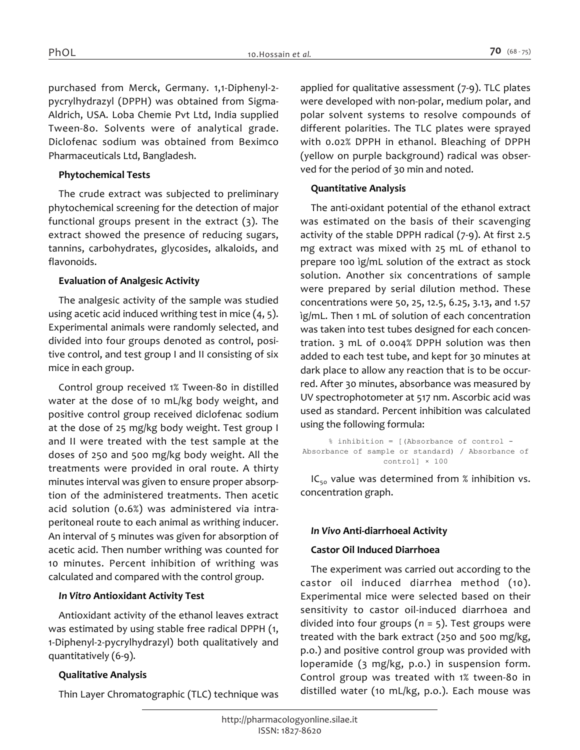*purchased from Merck, Germany. 1,1-Diphenyl-2 pycrylhydrazyl (DPPH) was obtained from Sigma-Aldrich, USA. Loba Chemie Pvt Ltd, India supplied Tween-8o. Solvents were of analytical grade. Diclofenac sodium was obtained from Beximco Pharmaceuticals Ltd, Bangladesh.*

# *Phytochemical Tests*

*The crude extract was subjected to preliminary phytochemical screening for the detection of major functional groups present in the extract (3). The extract showed the presence of reducing sugars, tannins, carbohydrates, glycosides, alkaloids, and flavonoids.*

#### *Evaluation of Analgesic Activity*

*The analgesic activity of the sample was studied using acetic acid induced writhing test in mice (4, 5). Experimental animals were randomly selected, and divided into four groups denoted as control, positive control, and test group I and II consisting of six mice in each group.*

*Control group received 1% Tween-80 in distilled water at the dose of 10 mL/kg body weight, and positive control group received diclofenac sodium at the dose of 25 mg/kg body weight. Test group I and II were treated with the test sample at the doses of 250 and 500 mg/kg body weight. All the treatments were provided in oral route. A thirty minutes interval was given to ensure proper absorption of the administered treatments. Then acetic acid solution (0.6%) was administered via intraperitoneal route to each animal as writhing inducer. An interval of 5 minutes was given for absorption of acetic acid. Then number writhing was counted for 10 minutes. Percent inhibition of writhing was calculated and compared with the control group.*

#### *In Vitro Antioxidant Activity Test*

*Antioxidant activity of the ethanol leaves extract was estimated by using stable free radical DPPH (1, 1-Diphenyl-2-pycrylhydrazyl) both qualitatively and quantitatively (6-9).*

# *Qualitative Analysis*

*Thin Layer Chromatographic (TLC) technique was* 

*applied for qualitative assessment (7-9). TLC plates were developed with non-polar, medium polar, and polar solvent systems to resolve compounds of different polarities. The TLC plates were sprayed with 0.02% DPPH in ethanol. Bleaching of DPPH (yellow on purple background) radical was observed for the period of 30 min and noted.*

#### *Quantitative Analysis*

*The anti-oxidant potential of the ethanol extract was estimated on the basis of their scavenging activity of the stable DPPH radical (7-9). At first 2.5 mg extract was mixed with 25 mL of ethanol to prepare 100 ìg/mL solution of the extract as stock solution. Another six concentrations of sample were prepared by serial dilution method. These concentrations were 50, 25, 12.5, 6.25, 3.13, and 1.57 ìg/mL. Then 1 mL of solution of each concentration was taken into test tubes designed for each concentration. 3 mL of 0.004% DPPH solution was then added to each test tube, and kept for 30 minutes at dark place to allow any reaction that is to be occurred. After 30 minutes, absorbance was measured by UV spectrophotometer at 517 nm. Ascorbic acid was used as standard. Percent inhibition was calculated using the following formula:*

```
% inhibition = [(Absorbance of control - 
Absorbance of sample or standard) / Absorbance of 
                  control] × 100
```
*IC50 value was determined from % inhibition vs. concentration graph.*

# *In Vivo Anti-diarrhoeal Activity*

#### *Castor Oil Induced Diarrhoea*

*The experiment was carried out according to the castor oil induced diarrhea method (10). Experimental mice were selected based on their sensitivity to castor oil-induced diarrhoea and divided into four groups (n = 5). Test groups were treated with the bark extract (250 and 500 mg/kg, p.o.) and positive control group was provided with loperamide (3 mg/kg, p.o.) in suspension form. Control group was treated with 1% tween-80 in distilled water (10 mL/kg, p.o.). Each mouse was*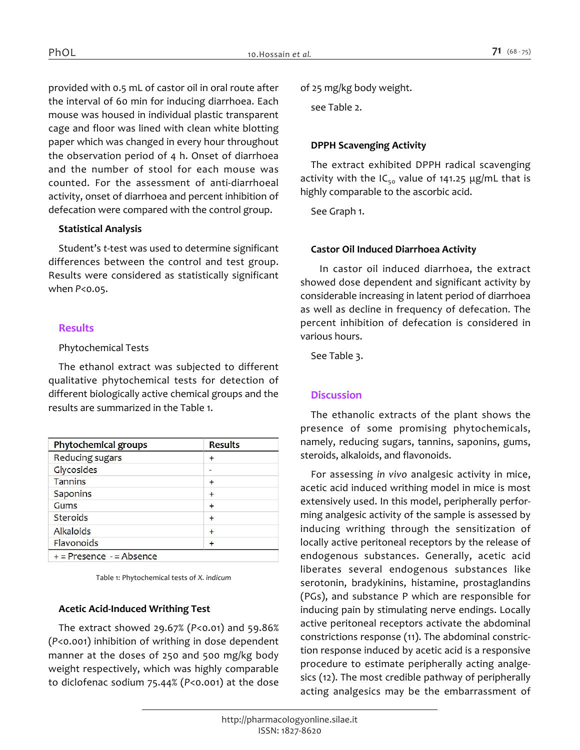*provided with 0.5 mL of castor oil in oral route after the interval of 60 min for inducing diarrhoea. Each mouse was housed in individual plastic transparent cage and floor was lined with clean white blotting paper which was changed in every hour throughout the observation period of 4 h. Onset of diarrhoea and the number of stool for each mouse was counted. For the assessment of anti-diarrhoeal activity, onset of diarrhoea and percent inhibition of defecation were compared with the control group.*

#### *Statistical Analysis*

*Student's t-test was used to determine significant differences between the control and test group. Results were considered as statistically significant when P<0.05.*

# *Results*

#### *Phytochemical Tests*

*The ethanol extract was subjected to different qualitative phytochemical tests for detection of different biologically active chemical groups and the results are summarized in the Table 1.*

| Phytochemical groups       | <b>Results</b> |  |  |
|----------------------------|----------------|--|--|
| Reducing sugars            | $+$            |  |  |
| <b>Clycosides</b>          | -              |  |  |
| <b>Tannins</b>             | $+$            |  |  |
| <b>Saponins</b>            | $\ddot{}$      |  |  |
| Gums                       | $\ddot{}$      |  |  |
| <b>Steroids</b>            | $+$            |  |  |
| <b>Alkaloids</b>           | $+$            |  |  |
| Flavonoids                 |                |  |  |
| $+ -$ Procence $-$ Absence |                |  |  |

+ = Presence - = Absence

*Table 1: Phytochemical tests of X. indicum*

# *Acetic Acid-Induced Writhing Test*

*The extract showed 29.67% (P<0.01) and 59.86% (P<0.001) inhibition of writhing in dose dependent manner at the doses of 250 and 500 mg/kg body weight respectively, which was highly comparable to diclofenac sodium 75.44% (P<0.001) at the dose* 

*of 25 mg/kg body weight.*

*see Table 2.*

# *DPPH Scavenging Activity*

*The extract exhibited DPPH radical scavenging activity with the IC50 value of 141.25 μg/mL that is highly comparable to the ascorbic acid.*

*See Graph 1.*

# *Castor Oil Induced Diarrhoea Activity*

 *In castor oil induced diarrhoea, the extract showed dose dependent and significant activity by considerable increasing in latent period of diarrhoea as well as decline in frequency of defecation. The percent inhibition of defecation is considered in various hours.*

*See Table 3.*

# *Discussion*

*The ethanolic extracts of the plant shows the presence of some promising phytochemicals, namely, reducing sugars, tannins, saponins, gums, steroids, alkaloids, and flavonoids.*

*For assessing in vivo analgesic activity in mice, acetic acid induced writhing model in mice is most extensively used. In this model, peripherally performing analgesic activity of the sample is assessed by inducing writhing through the sensitization of locally active peritoneal receptors by the release of endogenous substances. Generally, acetic acid liberates several endogenous substances like serotonin, bradykinins, histamine, prostaglandins (PGs), and substance P which are responsible for inducing pain by stimulating nerve endings. Locally active peritoneal receptors activate the abdominal constrictions response (11). The abdominal constriction response induced by acetic acid is a responsive procedure to estimate peripherally acting analgesics (12). The most credible pathway of peripherally acting analgesics may be the embarrassment of*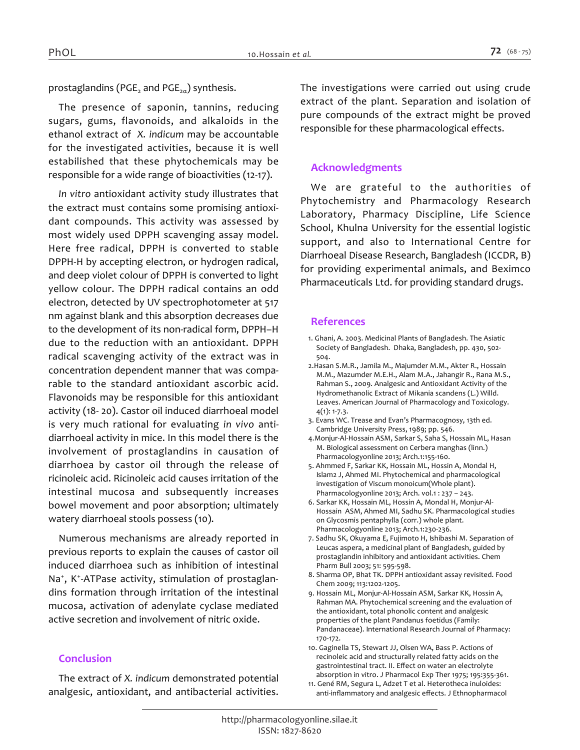*prostaglandins (PGE<sup>2</sup> and PGE2α) synthesis.*

*The presence of saponin, tannins, reducing sugars, gums, flavonoids, and alkaloids in the ethanol extract of X. indicum may be accountable*  for the investigated activities, because it is well *estabilished that these phytochemicals may be responsible for a wide range of bioactivities (12-17).*

*In vitro antioxidant activity study illustrates that the extract must contains some promising antioxidant compounds. This activity was assessed by most widely used DPPH scavenging assay model. Here free radical, DPPH is converted to stable DPPH-H by accepting electron, or hydrogen radical, and deep violet colour of DPPH is converted to light yellow colour. The DPPH radical contains an odd electron, detected by UV spectrophotometer at 517 nm against blank and this absorption decreases due to the development of its non‐radical form, DPPH–H due to the reduction with an antioxidant. DPPH radical scavenging activity of the extract was in concentration dependent manner that was comparable to the standard antioxidant ascorbic acid. Flavonoids may be responsible for this antioxidant activity (18- 20). Castor oil induced diarrhoeal model is very much rational for evaluating in vivo antidiarrhoeal activity in mice. In this model there is the involvement of prostaglandins in causation of diarrhoea by castor oil through the release of ricinoleic acid. Ricinoleic acid causes irritation of the intestinal mucosa and subsequently increases bowel movement and poor absorption; ultimately watery diarrhoeal stools possess (10).* 

*Numerous mechanisms are already reported in previous reports to explain the causes of castor oil induced diarrhoea such as inhibition of intestinal Na<sup>+</sup> , K<sup>+</sup> -ATPase activity, stimulation of prostaglandins formation through irritation of the intestinal mucosa, activation of adenylate cyclase mediated active secretion and involvement of nitric oxide.*

# *Conclusion*

*The extract of X. indicum demonstrated potential analgesic, antioxidant, and antibacterial activities.* 

*The investigations were carried out using crude extract of the plant. Separation and isolation of pure compounds of the extract might be proved responsible for these pharmacological effects.*

# *Acknowledgments*

*We are grateful to the authorities of Phytochemistry and Pharmacology Research Laboratory, Pharmacy Discipline, Life Science School, Khulna University for the essential logistic support, and also to International Centre for Diarrhoeal Disease Research, Bangladesh (ICCDR, B) for providing experimental animals, and Beximco Pharmaceuticals Ltd. for providing standard drugs.*

#### *References*

- *1. Ghani, A. 2003. Medicinal Plants of Bangladesh. The Asiatic Society of Bangladesh. Dhaka, Bangladesh, pp. 430, 502- 504.*
- *2.Hasan S.M.R., Jamila M., Majumder M.M., Akter R., Hossain M.M., Mazumder M.E.H., Alam M.A., Jahangir R., Rana M.S., Rahman S., 2009. Analgesic and Antioxidant Activity of the Hydromethanolic Extract of Mikania scandens (L.) Willd. Leaves. American Journal of Pharmacology and Toxicology. 4(1): 1-7.3.*
- *3. Evans WC. Trease and Evan's Pharmacognosy, 13th ed. Cambridge University Press, 1989; pp. 546.*
- *4.Monjur-Al-Hossain ASM, Sarkar S, Saha S, Hossain ML, Hasan M. Biological assessment on Cerbera manghas (linn.) Pharmacologyonline 2013; Arch.1:155-160.*
- *5. Ahmmed F, Sarkar KK, Hossain ML, Hossin A, Mondal H, Islam2 J, Ahmed MI. Phytochemical and pharmacological investigation of Viscum monoicum(Whole plant). Pharmacologyonline 2013; Arch. vol.1 : 237 – 243.*
- *6. Sarkar KK, Hossain ML, Hossin A, Mondal H, Monjur-Al-Hossain ASM, Ahmed MI, Sadhu SK. Pharmacological studies on Glycosmis pentaphylla (corr.) whole plant. Pharmacologyonline 2013; Arch.1:230-236.*
- *7. Sadhu SK, Okuyama E, Fujimoto H, Ishibashi M. Separation of Leucas aspera, a medicinal plant of Bangladesh, guided by prostaglandin inhibitory and antioxidant activities. Chem Pharm Bull 2003; 51: 595-598.*
- *8. Sharma OP, Bhat TK. DPPH antioxidant assay revisited. Food Chem 2009; 113:1202-1205.*
- *9. Hossain ML, Monjur-Al-Hossain ASM, Sarkar KK, Hossin A, Rahman MA. Phytochemical screening and the evaluation of the antioxidant, total phonolic content and analgesic properties of the plant Pandanus foetidus (Family: Pandanaceae). International Research Journal of Pharmacy: 170-172.*
- *10. Gaginella TS, Stewart JJ, Olsen WA, Bass P. Actions of recinoleic acid and structurally related fatty acids on the gastrointestinal tract. II. Effect on water an electrolyte absorption in vitro. J Pharmacol Exp Ther 1975; 195:355-361.*
- *11. Gené RM, Segura L, Adzet T et al. Heterotheca inuloides: anti-inflammatory and analgesic effects. J Ethnopharmacol*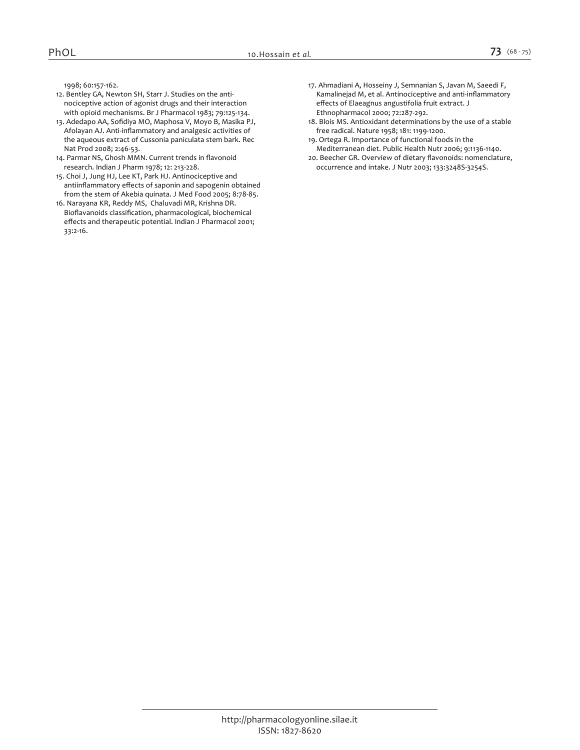*1998; 60:157-162.*

- *12. Bentley GA, Newton SH, Starr J. Studies on the antinociceptive action of agonist drugs and their interaction with opioid mechanisms. Br J Pharmacol 1983; 79:125-134.*
- *13. Adedapo AA, Sofidiya MO, Maphosa V, Moyo B, Masika PJ, Afolayan AJ. Anti-inflammatory and analgesic activities of the aqueous extract of Cussonia paniculata stem bark. Rec Nat Prod 2008; 2:46-53.*
- *14. Parmar NS, Ghosh MMN. Current trends in flavonoid research. Indian J Pharm 1978; 12: 213-228.*
- *15. Choi J, Jung HJ, Lee KT, Park HJ. Antinociceptive and antiinflammatory effects of saponin and sapogenin obtained from the stem of Akebia quinata. J Med Food 2005; 8:78-85.*
- *16. Narayana KR, Reddy MS, Chaluvadi MR, Krishna DR. Bioflavanoids classification, pharmacological, biochemical effects and therapeutic potential. Indian J Pharmacol 2001; 33:2-16.*
- *17. Ahmadiani A, Hosseiny J, Semnanian S, Javan M, Saeedi F, Kamalinejad M, et al. Antinociceptive and anti-inflammatory effects of Elaeagnus angustifolia fruit extract. J Ethnopharmacol 2000; 72:287-292.*
- *18. Blois MS. Antioxidant determinations by the use of a stable free radical. Nature 1958; 181: 1199‐1200.*
- *19. Ortega R. Importance of functional foods in the Mediterranean diet. Public Health Nutr 2006; 9:1136-1140.*
- *20. Beecher GR. Overview of dietary flavonoids: nomenclature, occurrence and intake. J Nutr 2003; 133:3248S-3254S.*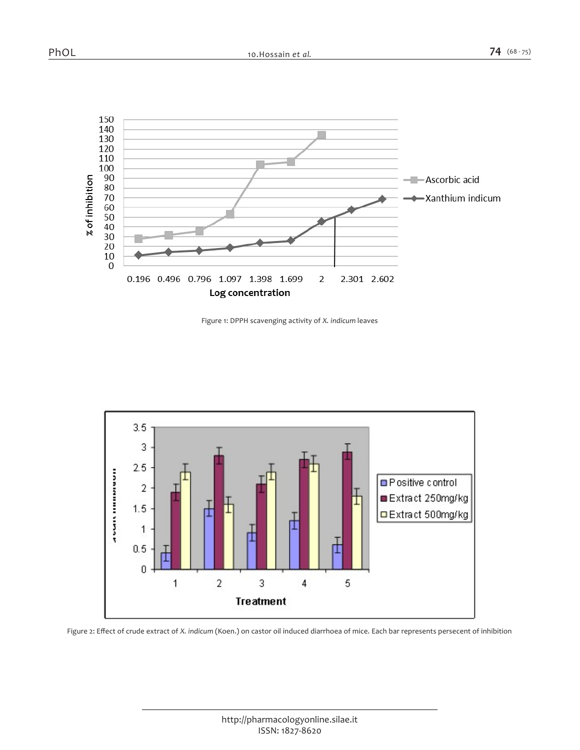

*Figure 1: DPPH scavenging activity of X. indicum leaves*



*Figure 2: Effect of crude extract of X. indicum (Koen.) on castor oil induced diarrhoea of mice. Each bar represents persecent of inhibition*